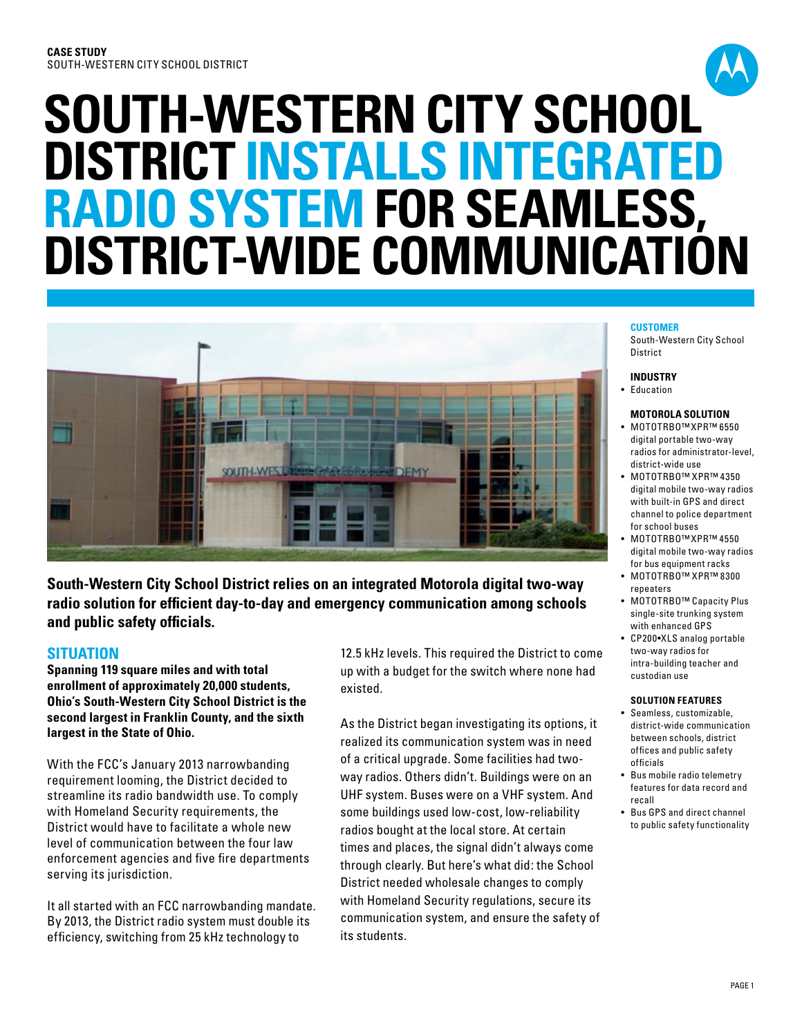# **SOUTH-WESTERN CITY SCHOOL DISTRICT INSTALLS INTEGRATED RADIO SYSTEM FOR SEAMLESS, DISTRICT-WIDE COMMUNICATION**



**South-Western City School District relies on an integrated Motorola digital two-way radio solution for efficient day-to-day and emergency communication among schools and public safety officials.**

# **SITUATION**

**Spanning 119 square miles and with total enrollment of approximately 20,000 students, Ohio's South-Western City School District is the second largest in Franklin County, and the sixth largest in the State of Ohio.** 

With the FCC's January 2013 narrowbanding requirement looming, the District decided to streamline its radio bandwidth use. To comply with Homeland Security requirements, the District would have to facilitate a whole new level of communication between the four law enforcement agencies and five fire departments serving its jurisdiction.

It all started with an FCC narrowbanding mandate. By 2013, the District radio system must double its efficiency, switching from 25 kHz technology to

12.5 kHz levels. This required the District to come up with a budget for the switch where none had existed.

As the District began investigating its options, it realized its communication system was in need of a critical upgrade. Some facilities had twoway radios. Others didn't. Buildings were on an UHF system. Buses were on a VHF system. And some buildings used low-cost, low-reliability radios bought at the local store. At certain times and places, the signal didn't always come through clearly. But here's what did: the School District needed wholesale changes to comply with Homeland Security regulations, secure its communication system, and ensure the safety of its students.

#### **CUSTOMER**

South-Western City School District

#### **INDUSTRY**

• Education

#### **MOTOROLA SOLUTION**

- • MOTOTRBO™XPR™ 6550 digital portable two-way radios for administrator-level, district-wide use
- • MOTOTRBO™ XPR™ 4350 digital mobile two-way radios with built-in GPS and direct channel to police department for school buses
- • MOTOTRBO™XPR™ 4550 digital mobile two-way radios for bus equipment racks
- • MOTOTRBO™ XPR™ 8300 repeaters
- MOTOTRBO™ Capacity Plus single-site trunking system with enhanced GPS
- • CP200•XLS analog portable two-way radios for intra-building teacher and custodian use

#### **SOLUTION FEATURES**

- • Seamless, customizable, district-wide communication between schools, district offices and public safety officials
- Bus mobile radio telemetry features for data record and recall
- • Bus GPS and direct channel to public safety functionality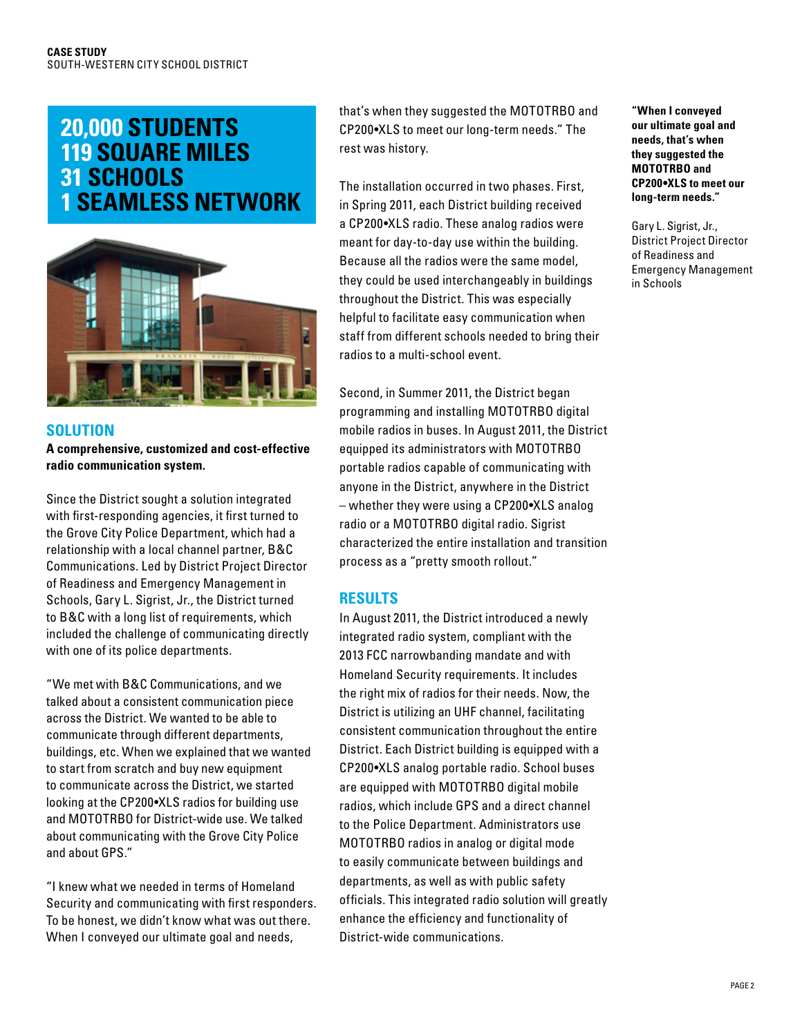# **20,000 STUDENTS 119 SQUARE MILES 31 SCHOOLS 1 SEAMLESS NETWORK**



# **solution**

**A comprehensive, customized and cost-effective radio communication system.**

Since the District sought a solution integrated with first-responding agencies, it first turned to the Grove City Police Department, which had a relationship with a local channel partner, B&C Communications. Led by District Project Director of Readiness and Emergency Management in Schools, Gary L. Sigrist, Jr., the District turned to B&C with a long list of requirements, which included the challenge of communicating directly with one of its police departments.

"We met with B&C Communications, and we talked about a consistent communication piece across the District. We wanted to be able to communicate through different departments, buildings, etc. When we explained that we wanted to start from scratch and buy new equipment to communicate across the District, we started looking at the CP200•XLS radios for building use and MOTOTRBO for District-wide use. We talked about communicating with the Grove City Police and about GPS."

"I knew what we needed in terms of Homeland Security and communicating with first responders. To be honest, we didn't know what was out there. When I conveyed our ultimate goal and needs,

that's when they suggested the MOTOTRBO and CP200•XLS to meet our long-term needs." The rest was history.

The installation occurred in two phases. First, in Spring 2011, each District building received a CP200•XLS radio. These analog radios were meant for day-to-day use within the building. Because all the radios were the same model, they could be used interchangeably in buildings throughout the District. This was especially helpful to facilitate easy communication when staff from different schools needed to bring their radios to a multi-school event.

Second, in Summer 2011, the District began programming and installing MOTOTRBO digital mobile radios in buses. In August 2011, the District equipped its administrators with MOTOTRBO portable radios capable of communicating with anyone in the District, anywhere in the District – whether they were using a CP200•XLS analog radio or a MOTOTRBO digital radio. Sigrist characterized the entire installation and transition process as a "pretty smooth rollout."

# **RESULTS**

In August 2011, the District introduced a newly integrated radio system, compliant with the 2013 FCC narrowbanding mandate and with Homeland Security requirements. It includes the right mix of radios for their needs. Now, the District is utilizing an UHF channel, facilitating consistent communication throughout the entire District. Each District building is equipped with a CP200•XLS analog portable radio. School buses are equipped with MOTOTRBO digital mobile radios, which include GPS and a direct channel to the Police Department. Administrators use MOTOTRBO radios in analog or digital mode to easily communicate between buildings and departments, as well as with public safety officials. This integrated radio solution will greatly enhance the efficiency and functionality of District-wide communications.

**"When I conveyed our ultimate goal and needs, that's when they suggested the MOTOTRBO and CP200•XLS to meet our long-term needs."**

Gary L. Sigrist, Jr., District Project Director of Readiness and Emergency Management in Schools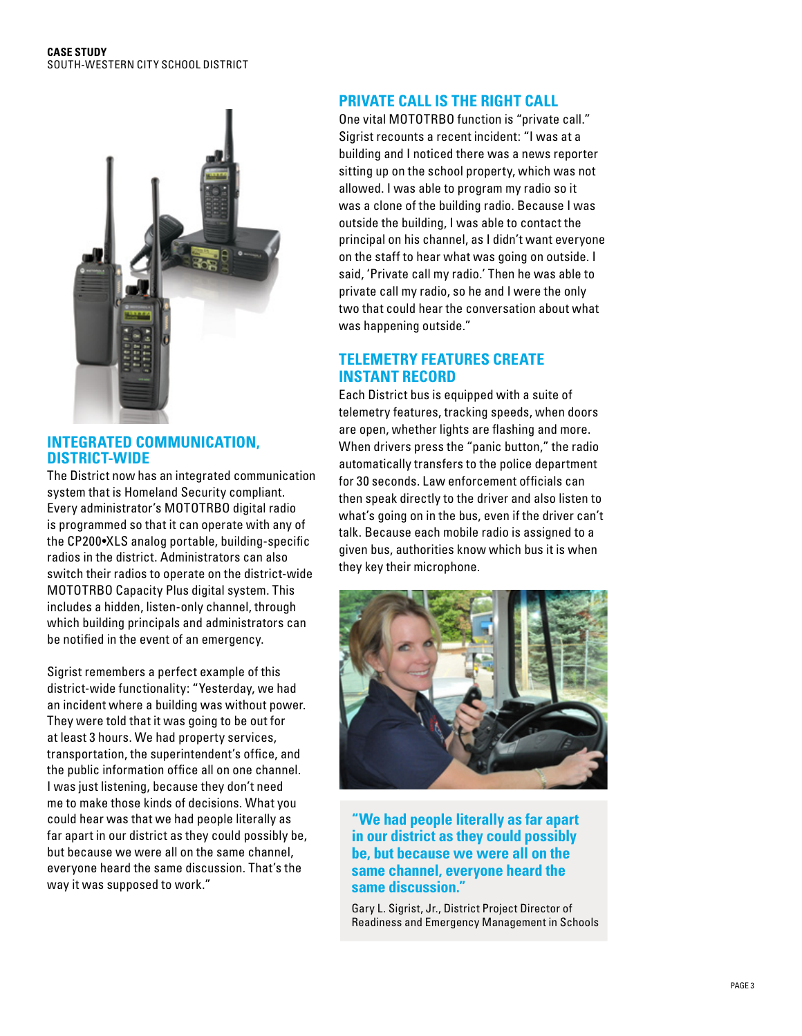#### **CASE STUDY** SOUTH-WESTERN CITY SCHOOL DISTRICT



#### **INTEGRATED COMMUNICATION, DISTRICT-WIDE**

The District now has an integrated communication system that is Homeland Security compliant. Every administrator's MOTOTRBO digital radio is programmed so that it can operate with any of the CP200•XLS analog portable, building-specific radios in the district. Administrators can also switch their radios to operate on the district-wide MOTOTRBO Capacity Plus digital system. This includes a hidden, listen-only channel, through which building principals and administrators can be notified in the event of an emergency.

Sigrist remembers a perfect example of this district-wide functionality: "Yesterday, we had an incident where a building was without power. They were told that it was going to be out for at least 3 hours. We had property services, transportation, the superintendent's office, and the public information office all on one channel. I was just listening, because they don't need me to make those kinds of decisions. What you could hear was that we had people literally as far apart in our district as they could possibly be, but because we were all on the same channel, everyone heard the same discussion. That's the way it was supposed to work."

# **PRIVATE CALL IS THE RIGHT CALL**

One vital MOTOTRBO function is "private call." Sigrist recounts a recent incident: "I was at a building and I noticed there was a news reporter sitting up on the school property, which was not allowed. I was able to program my radio so it was a clone of the building radio. Because I was outside the building, I was able to contact the principal on his channel, as I didn't want everyone on the staff to hear what was going on outside. I said, 'Private call my radio.' Then he was able to private call my radio, so he and I were the only two that could hear the conversation about what was happening outside."

# **TELEMETRY FEATURES CREATE INSTANT RECORD**

Each District bus is equipped with a suite of telemetry features, tracking speeds, when doors are open, whether lights are flashing and more. When drivers press the "panic button," the radio automatically transfers to the police department for 30 seconds. Law enforcement officials can then speak directly to the driver and also listen to what's going on in the bus, even if the driver can't talk. Because each mobile radio is assigned to a given bus, authorities know which bus it is when they key their microphone.



**"We had people literally as far apart in our district as they could possibly be, but because we were all on the same channel, everyone heard the same discussion."**

Gary L. Sigrist, Jr., District Project Director of Readiness and Emergency Management in Schools